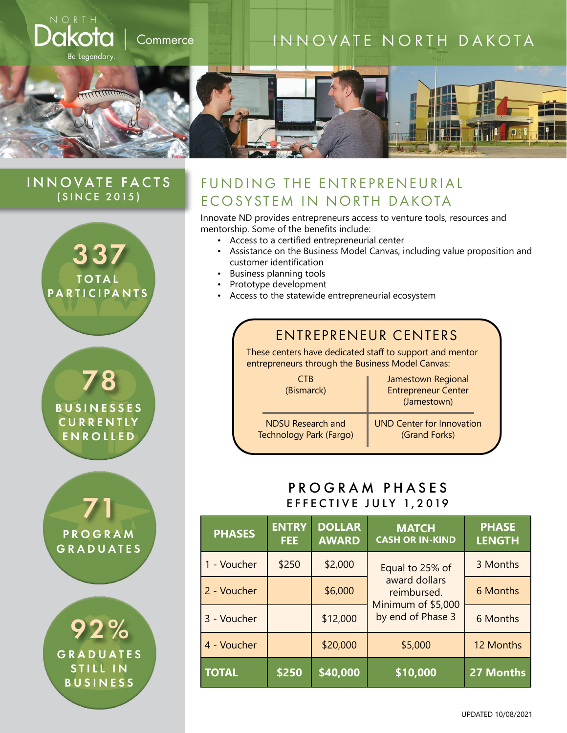

#### INNOVATE FACTS (SINCE 2015)



78 **BUSINESSES CURRENTLY** ENROLLED

71 **PROGRAM** GRADUATES

92% **GRADUATES** STILL IN BUSINESS

## FUNDING THE ENTREPRENEURIAL ECOSYSTEM IN NORTH DAKOTA

Innovate ND provides entrepreneurs access to venture tools, resources and mentorship. Some of the benefits include:

- Access to a certified entrepreneurial center
- Assistance on the Business Model Canvas, including value proposition and customer identification
- Business planning tools
- Prototype development
- Access to the statewide entrepreneurial ecosystem

## ENTREPRENEUR CENTERS

These centers have dedicated staff to support and mentor entrepreneurs through the Business Model Canvas:

| CTB<br>(Bismarck)        | Jamestown Regional<br><b>Entrepreneur Center</b><br>(Jamestown) |  |
|--------------------------|-----------------------------------------------------------------|--|
| <b>NDSU Research and</b> | <b>UND Center for Innovation</b>                                |  |
| Technology Park (Fargo)  | (Grand Forks)                                                   |  |

#### PROGRAM PHASES EFFECTIVE JULY 1,2019

| <b>PHASES</b> | <b>ENTRY</b><br><b>FEE</b> | <b>DOLLAR</b><br><b>AWARD</b> | <b>MATCH</b><br><b>CASH OR IN-KIND</b>                                                     | <b>PHASE</b><br><b>LENGTH</b> |
|---------------|----------------------------|-------------------------------|--------------------------------------------------------------------------------------------|-------------------------------|
| 1 - Voucher   | \$250                      | \$2,000                       | Equal to 25% of<br>award dollars<br>reimbursed.<br>Minimum of \$5,000<br>by end of Phase 3 | 3 Months                      |
| 2 - Voucher   |                            | \$6,000                       |                                                                                            | 6 Months                      |
| 3 - Voucher   |                            | \$12,000                      |                                                                                            | 6 Months                      |
| 4 - Voucher   |                            | \$20,000                      | \$5,000                                                                                    | 12 Months                     |
| <b>TOTAL</b>  | \$250                      | \$40,000                      | \$10,000                                                                                   | <b>27 Months</b>              |